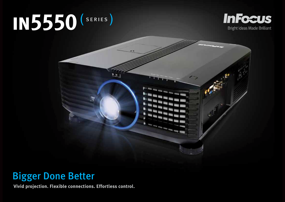# **in5550**





## Bigger Done Better

**Vivid projection. Flexible connections. Effortless control.**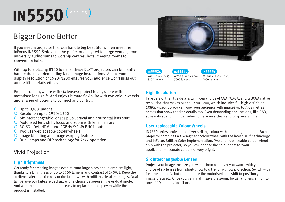## **IN5550**<sup>(SERIES)</sup>

### Bigger Done Better

If you need a projector that can handle big beautifully, then meet the InFocus IN5550 Series. It's the projector designed for large venues, from university auditoriums to worship centres, hotel meeting rooms to convention halls.

With up to a blazing 8300 lumens, these DLP<sup>®</sup> projectors can brilliantly handle the most demanding large image installations. A maximum display resolution of 1920×1200 ensures your audience won't miss out on the little details either.

Project from anywhere with six lenses; project to anywhere with motorised lens shift. And enjoy ultimate flexibility with two colour wheels and a range of options to connect and control.

- ¡ Up to 8300 lumens
- $\overline{O}$  Resolution up to 1920×1200
- $\overline{O}$  Six interchangeable lenses plus vertical and horizontal lens shift
- $\circ$  Motorised lens shift, focus and zoom with lens memory
- 3G-SDI, DVI, HDMI, and RGBHV/YPbPr BNC inputs
- $\bigcirc$  Two user-replaceable colour wheels
- $\circ$  Image blending and image warping features
- $\circ$  Dual lamps and DLP technology for 24/7 operation

#### Vivid Projection

#### **High Brightness**

Get ready for amazing images even at extra-large sizes and in ambient light, thanks to a brightness of up to 8300 lumens and contrast of 2400:1. Keep the audience alert—all the way to the last row—with brilliant, detailed images. Dual lamps give you fail-safe backup, with a choice between single or dual mode. And with the rear lamp door, it's easy to replace the lamp even while the product is installed.



| IN5552L          | $\overline{1}$ IN5554L | (N5555L)            |
|------------------|------------------------|---------------------|
| XGA (1024 × 768) | WXGA (1280 × 800)      | WUXGA (1920 × 1200) |
| 8300 lumens      | 7000 lumens            | 7000 lumens         |

#### **High Resolution**

Take care of the little details with your choice of XGA, WXGA, and WUXGA native resolution that maxes out at 1920x1200, which includes full high-definition 1080p video. So you can wow your audience with images up to 7.62 metres across that show the fine details too. Even demanding applications, like CAD, schematics, and high-def video come across clean and crisp every time.

#### **User-replaceable Colour Wheels**

IN5550 series projectors deliver striking colour with smooth gradations. Each projector combines a six-segment colour wheel with the latest DLP® technology and InFocus BrilliantColor implementation. Two user-replaceable colour wheels ship with the projector, so you can choose the colour best for your application—accurate colours or very bright.

#### **Six Interchangeable Lenses**

Project your image the size you want—from wherever you want—with your choice of six lenses from short-throw to ultra-long-throw projection. Switch with just the push of a button, then use the motorised lens shift to position your image precisely. Once you get it right, save the zoom, focus, and lens shift into one of 10 memory locations.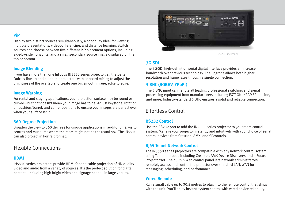#### **PiP**

Display two distinct sources simultaneously, a capability ideal for viewing multiple presentations, videoconferencing, and distance learning. Switch sources and choose between five different PiP placement options, including side-by-side horizontal and a small secondary source image displayed on the top or bottom.

#### **Image Blending**

If you have more than one InFocus IN5550 series projector, all the better. Quickly line up and blend the projectors with onboard mixing to adjust the brightness of the overlap and create one big smooth image, edge to edge.

#### **Image Warping**

For rental and staging applications, your projection surface may be round or curved—but that doesn't mean your image has to be. Adjust keystone, rotation, pincushion/barrel, and corner positions to ensure your images are perfect even when your surface isn't.

#### **360-Degree Projection**

Broaden the view to 360 degrees for unique applications in auditoriums, visitor centres and museums where the room might not be the usual box. The IN5550 can also project in Portrait format.

#### Flexible Connections

#### **HDMI**

IN5550 series projectors provide HDMI for one-cable projection of HD-quality video and audio from a variety of sources. It's the perfect solution for digital content—including high bright video and signage needs—in large venues.



IN5550 Side Panel

#### **3G-SDI**

The 3G-SDI high-definition serial digital interface provides an increase in bandwidth over previous technology. The upgrade allows both higher resolution and frame rates through a single connection.

#### **5 BNC (RGBHV, YPbPr)**

The 5 BNC input can handle all leading professional switching and signal processing equipment from manufacturers including EXTRON, KRAMER, In-Line, and more. Industry-standard 5 BNC ensures a solid and reliable connection.

#### Effortless Control

#### **RS232 Control**

Use the RS232 port to add the IN5550 series projector to your room control system. Manage your projector instantly and intuitively with your choice of serial control devices from Crestron, AMX, and SPcontrols.

#### **RJ45 Telnet Network Control**

The IN5550 series projectors are compatible with any network control system using Telnet protocol, including Crestnet, AMX Device Discovery, and InFocus ProjectorNet. The built-in Web control panel lets network administrators remotely access and control the projector over standard LAN/WAN for messaging, scheduling, and performance.

#### **Wired Remote**

Run a small cable up to 30.5 metres to plug into the remote control that ships with the unit. You'll enjoy instant system control with wired device reliability.